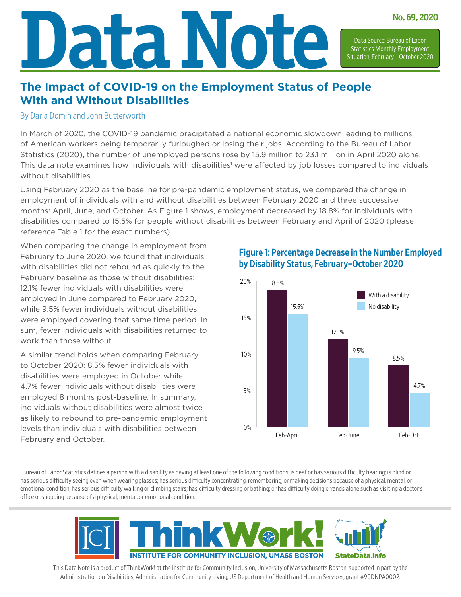# **Data Note No. 69, 2020** Data Source: Bureau of Labor Statistics Monthly Employment Situation, February – October 2020

## **The Impact of COVID-19 on the Employment Status of People With and Without Disabilities**

#### By Daria Domin and John Butterworth

In March of 2020, the COVID-19 pandemic precipitated a national economic slowdown leading to millions of American workers being temporarily furloughed or losing their jobs. According to the Bureau of Labor Statistics (2020), the number of unemployed persons rose by 15.9 million to 23.1 million in April 2020 alone. This data note examines how individuals with disabilities<sup>1</sup> were affected by job losses compared to individuals without disabilities.

Using February 2020 as the baseline for pre-pandemic employment status, we compared the change in employment of individuals with and without disabilities between February 2020 and three successive months: April, June, and October. As Figure 1 shows, employment decreased by 18.8% for individuals with disabilities compared to 15.5% for people without disabilities between February and April of 2020 (please reference Table 1 for the exact numbers).

When comparing the change in employment from February to June 2020, we found that individuals with disabilities did not rebound as quickly to the February baseline as those without disabilities: 12.1% fewer individuals with disabilities were employed in June compared to February 2020, while 9.5% fewer individuals without disabilities were employed covering that same time period. In sum, fewer individuals with disabilities returned to work than those without.

A similar trend holds when comparing February to October 2020: 8.5% fewer individuals with disabilities were employed in October while 4.7% fewer individuals without disabilities were employed 8 months post-baseline. In summary, individuals without disabilities were almost twice as likely to rebound to pre-pandemic employment levels than individuals with disabilities between February and October.

Figure 1: Percentage Decrease in the Number Employed by Disability Status, February–October 2020



<sup>1</sup>Bureau of Labor Statistics defines a person with a disability as having at least one of the following conditions: is deaf or has serious difficulty hearing; is blind or has serious difficulty seeing even when wearing glasses; has serious difficulty concentrating, remembering, or making decisions because of a physical, mental, or emotional condition; has serious difficulty walking or climbing stairs; has difficulty dressing or bathing; or has difficulty doing errands alone such as visiting a doctor's office or shopping because of a physical, mental, or emotional condition.



This Data Note is a product of ThinkWork! at the Institute for Community Inclusion, University of Massachusetts Boston, supported in part by the Administration on Disabilities, Administration for Community Living, US Department of Health and Human Services, grant #90DNPA0002.